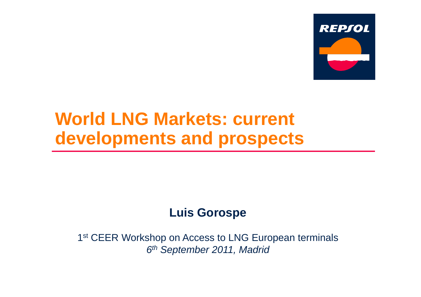

# **World LNG Markets: current developments and prospects**

# **Luis Gorospe**

1<sup>st</sup> CEER Workshop on Access to LNG European terminals *6th September 2011 Madrid 2011,*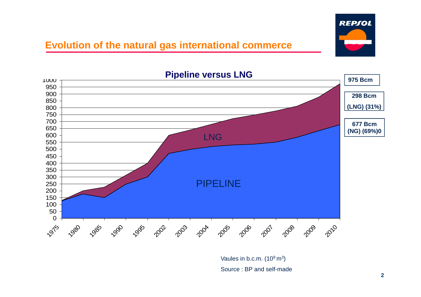

#### **Evolution of the natural gas international commerce**



Vaules in b.c.m.  $(10^9 \text{ m}^3)$ Source : BP and self-made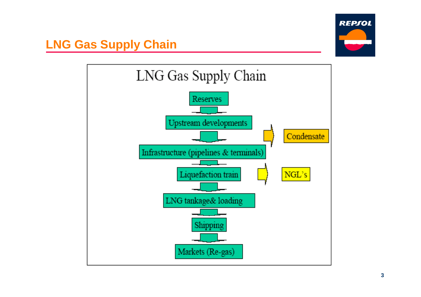

### **LNG Gas Supply Chain**

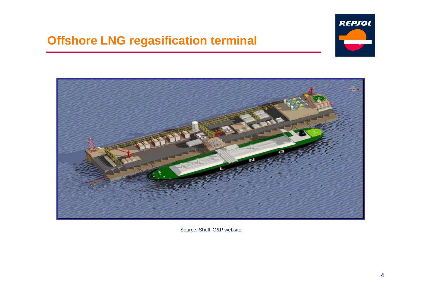# **Offshore LNG regasification terminal**





Source: Shell G&P website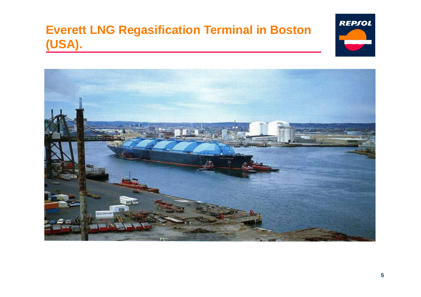# **Everett LNG Regasification Terminal in Boston (USA).**



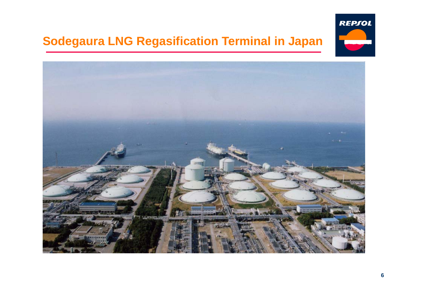# **Sodeg g aura LNG Regasification Terminal in Japan**



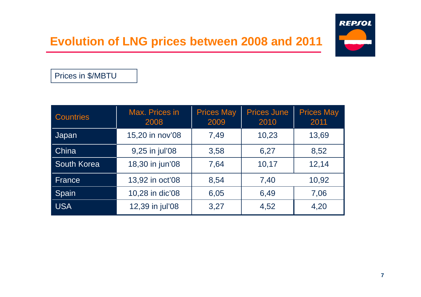## **Evolution of LNG prices between 2008 and 2011**



Prices in \$/MBTU

| <b>Countries</b>   | Max. Prices in<br>2008 | <b>Prices May</b><br>2009 | <b>Prices June</b><br>2010 | <b>Prices May</b><br>2011 |
|--------------------|------------------------|---------------------------|----------------------------|---------------------------|
| Japan              | 15,20 in nov'08        | 7,49                      | 10,23                      | 13,69                     |
| China              | 9,25 in jul'08         | 3,58                      | 6,27                       | 8,52                      |
| <b>South Korea</b> | 18,30 in jun'08        | 7,64                      | 10,17                      | 12,14                     |
| France             | 13,92 in oct'08        | 8,54                      | 7,40                       | 10,92                     |
| Spain              | 10,28 in dic'08        | 6,05                      | 6,49                       | 7,06                      |
| <b>USA</b>         | 12,39 in jul'08        | 3,27                      | 4,52                       | 4,20                      |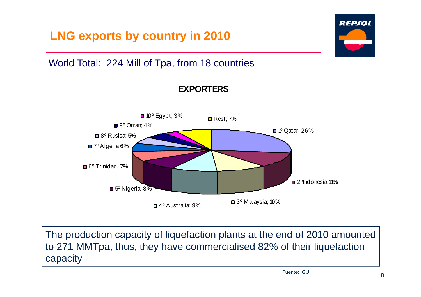

The production capacity of liquefaction plants at the end of 2010 amounted to 271 MMTpa, thus, they have commercialised 82% of their liquefaction capacity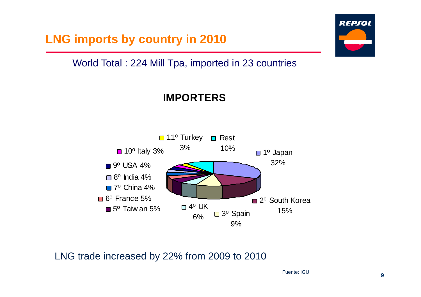**LNG imports by country in 2010** 

#### World Total : 224 Mill Tpa, imported in 23 countries

#### **IMPORTERS**



LNG trade increased by 22% from 2009 to 2010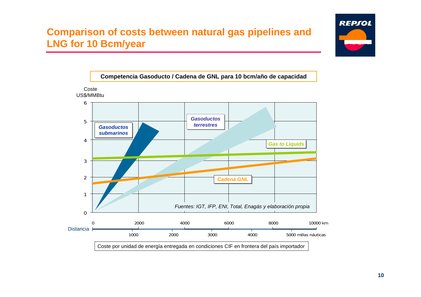#### **Comparison of costs between natural gas pipelines and LN G 0 /y for 1 0 Bcm/year**



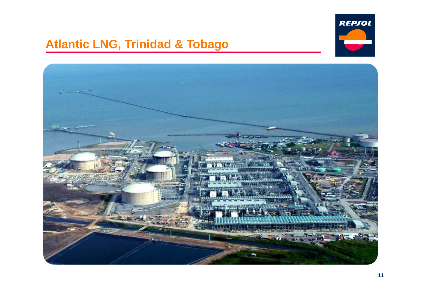

### **Atlantic LNG, Trinidad & Tobago**

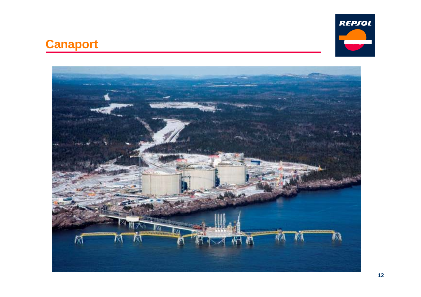

# **Canaport**

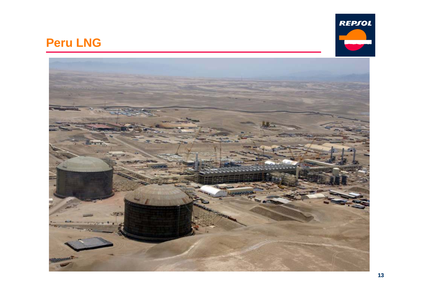

### **Peru LNG**